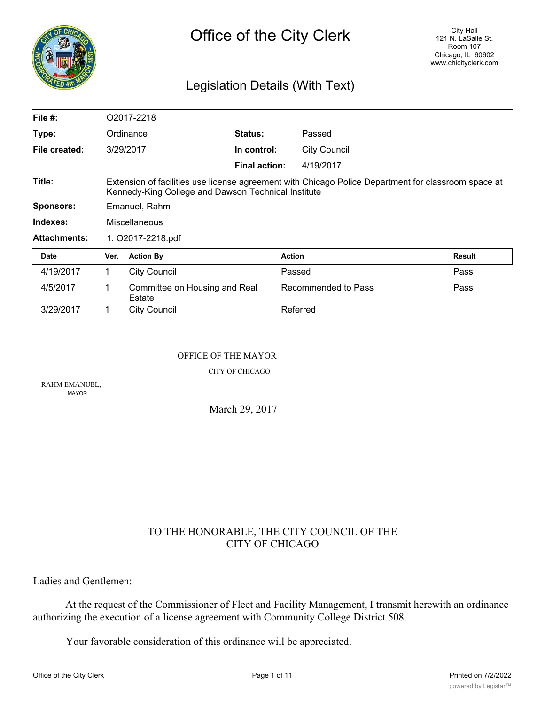

## Legislation Details (With Text)

| File $#$ :          |                                                                                                                                                            | O2017-2218                              |                      |                     |               |
|---------------------|------------------------------------------------------------------------------------------------------------------------------------------------------------|-----------------------------------------|----------------------|---------------------|---------------|
| Type:               |                                                                                                                                                            | Ordinance                               | <b>Status:</b>       | Passed              |               |
| File created:       |                                                                                                                                                            | 3/29/2017                               | In control:          | <b>City Council</b> |               |
|                     |                                                                                                                                                            |                                         | <b>Final action:</b> | 4/19/2017           |               |
| Title:              | Extension of facilities use license agreement with Chicago Police Department for classroom space at<br>Kennedy-King College and Dawson Technical Institute |                                         |                      |                     |               |
| <b>Sponsors:</b>    | Emanuel, Rahm                                                                                                                                              |                                         |                      |                     |               |
| Indexes:            | Miscellaneous                                                                                                                                              |                                         |                      |                     |               |
| <b>Attachments:</b> | 1. O2017-2218.pdf                                                                                                                                          |                                         |                      |                     |               |
| Date                | Ver.                                                                                                                                                       | <b>Action By</b>                        | <b>Action</b>        |                     | <b>Result</b> |
| 4/19/2017           | 1.                                                                                                                                                         | <b>City Council</b>                     | Passed               |                     | Pass          |
| 4/5/2017            | 1                                                                                                                                                          | Committee on Housing and Real<br>Estate |                      | Recommended to Pass | Pass          |
| 3/29/2017           |                                                                                                                                                            | City Council                            |                      | Referred            |               |

#### OFFICE OF THE MAYOR

CITY OF CHICAGO

RAHM EMANUEL, MAYOR

March 29, 2017

## TO THE HONORABLE, THE CITY COUNCIL OF THE CITY OF CHICAGO

Ladies and Gentlemen:

At the request of the Commissioner of Fleet and Facility Management, I transmit herewith an ordinance authorizing the execution of a license agreement with Community College District 508.

Your favorable consideration of this ordinance will be appreciated.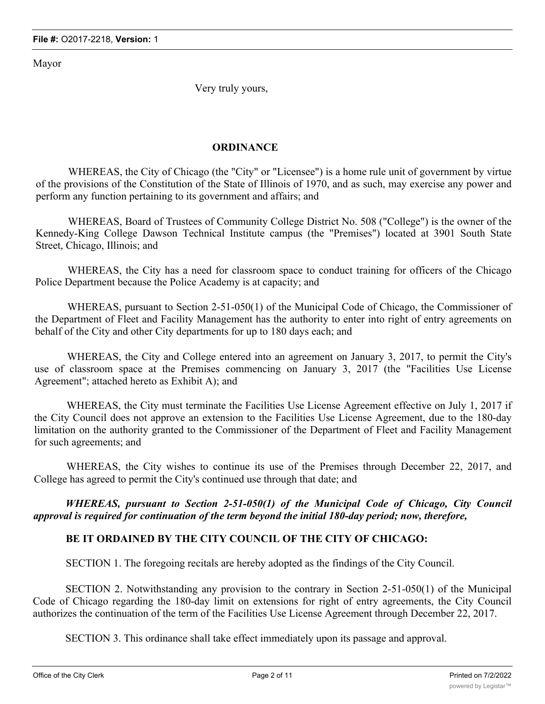Mayor

Very truly yours,

## **ORDINANCE**

WHEREAS, the City of Chicago (the "City" or "Licensee") is a home rule unit of government by virtue of the provisions of the Constitution of the State of Illinois of 1970, and as such, may exercise any power and perform any function pertaining to its government and affairs; and

WHEREAS, Board of Trustees of Community College District No. 508 ("College") is the owner of the Kennedy-King College Dawson Technical Institute campus (the "Premises") located at 3901 South State Street, Chicago, Illinois; and

WHEREAS, the City has a need for classroom space to conduct training for officers of the Chicago Police Department because the Police Academy is at capacity; and

WHEREAS, pursuant to Section 2-51-050(1) of the Municipal Code of Chicago, the Commissioner of the Department of Fleet and Facility Management has the authority to enter into right of entry agreements on behalf of the City and other City departments for up to 180 days each; and

WHEREAS, the City and College entered into an agreement on January 3, 2017, to permit the City's use of classroom space at the Premises commencing on January 3, 2017 (the "Facilities Use License Agreement"; attached hereto as Exhibit A); and

WHEREAS, the City must terminate the Facilities Use License Agreement effective on July 1, 2017 if the City Council does not approve an extension to the Facilities Use License Agreement, due to the 180-day limitation on the authority granted to the Commissioner of the Department of Fleet and Facility Management for such agreements; and

WHEREAS, the City wishes to continue its use of the Premises through December 22, 2017, and College has agreed to permit the City's continued use through that date; and

*WHEREAS, pursuant to Section 2-51-050(1) of the Municipal Code of Chicago, City Council approval is required for continuation of the term beyond the initial 180-day period; now, therefore,*

## **BE IT ORDAINED BY THE CITY COUNCIL OF THE CITY OF CHICAGO:**

SECTION 1. The foregoing recitals are hereby adopted as the findings of the City Council.

SECTION 2. Notwithstanding any provision to the contrary in Section 2-51-050(1) of the Municipal Code of Chicago regarding the 180-day limit on extensions for right of entry agreements, the City Council authorizes the continuation of the term of the Facilities Use License Agreement through December 22, 2017.

SECTION 3. This ordinance shall take effect immediately upon its passage and approval.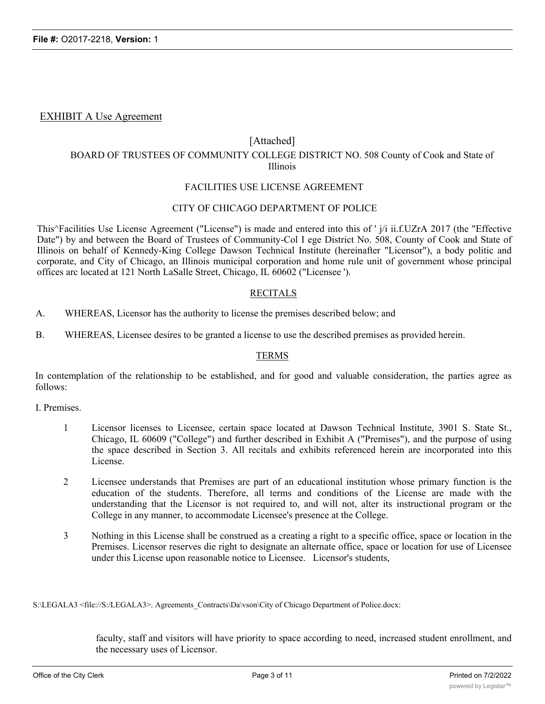## EXHIBIT A Use Agreement

## [Attached]

## BOARD OF TRUSTEES OF COMMUNITY COLLEGE DISTRICT NO. 508 County of Cook and State of Illinois

## FACILITIES USE LICENSE AGREEMENT

## CITY OF CHICAGO DEPARTMENT OF POLICE

This^Facilities Use License Agreement ("License") is made and entered into this of ' j/i ii.f.UZrA 2017 (the "Effective Date") by and between the Board of Trustees of Community-Col I ege District No. 508, County of Cook and State of Illinois on behalf of Kennedy-King College Dawson Technical Institute (hereinafter "Licensor"), a body politic and corporate, and City of Chicago, an Illinois municipal corporation and home rule unit of government whose principal offices arc located at 121 North LaSalle Street, Chicago, IL 60602 ("Licensee ').

#### RECITALS

- A. WHEREAS, Licensor has the authority to license the premises described below; and
- B. WHEREAS, Licensee desires to be granted a license to use the described premises as provided herein.

## TERMS

In contemplation of the relationship to be established, and for good and valuable consideration, the parties agree as follows:

I. Premises.

- 1 Licensor licenses to Licensee, certain space located at Dawson Technical Institute, 3901 S. State St., Chicago, IL 60609 ("College") and further described in Exhibit A ("Premises"), and the purpose of using the space described in Section 3. All recitals and exhibits referenced herein are incorporated into this License.
- 2 Licensee understands that Premises are part of an educational institution whose primary function is the education of the students. Therefore, all terms and conditions of the License are made with the understanding that the Licensor is not required to, and will not, alter its instructional program or the College in any manner, to accommodate Licensee's presence at the College.
- 3 Nothing in this License shall be construed as a creating a right to a specific office, space or location in the Premises. Licensor reserves die right to designate an alternate office, space or location for use of Licensee under this License upon reasonable notice to Licensee. Licensor's students,

S:\LEGALA3 <file://S:/LEGALA3>. Agreements\_Contracts\Da\vson\City of Chicago Department of Police.docx:

faculty, staff and visitors will have priority to space according to need, increased student enrollment, and the necessary uses of Licensor.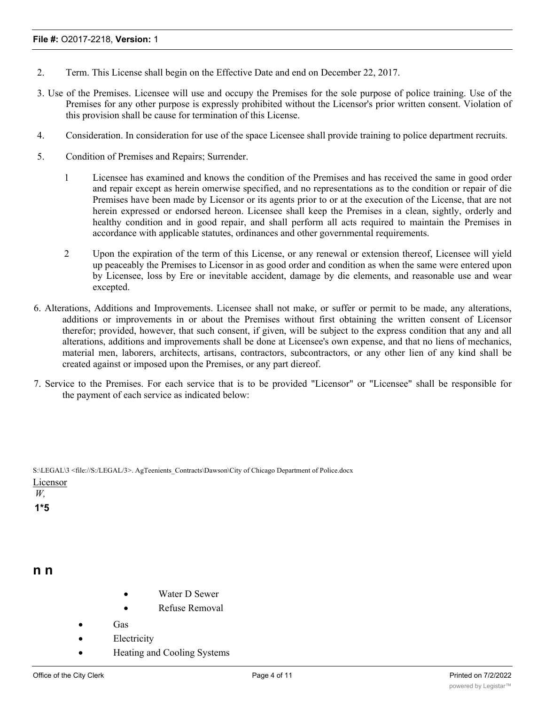- 2. Term. This License shall begin on the Effective Date and end on December 22, 2017.
- 3. Use of the Premises. Licensee will use and occupy the Premises for the sole purpose of police training. Use of the Premises for any other purpose is expressly prohibited without the Licensor's prior written consent. Violation of this provision shall be cause for termination of this License.
- 4. Consideration. In consideration for use of the space Licensee shall provide training to police department recruits.
- 5. Condition of Premises and Repairs; Surrender.
	- 1 Licensee has examined and knows the condition of the Premises and has received the same in good order and repair except as herein omerwise specified, and no representations as to the condition or repair of die Premises have been made by Licensor or its agents prior to or at the execution of the License, that are not herein expressed or endorsed hereon. Licensee shall keep the Premises in a clean, sightly, orderly and healthy condition and in good repair, and shall perform all acts required to maintain the Premises in accordance with applicable statutes, ordinances and other governmental requirements.
	- 2 Upon the expiration of the term of this License, or any renewal or extension thereof, Licensee will yield up peaceably the Premises to Licensor in as good order and condition as when the same were entered upon by Licensee, loss by Ere or inevitable accident, damage by die elements, and reasonable use and wear excepted.
- 6. Alterations, Additions and Improvements. Licensee shall not make, or suffer or permit to be made, any alterations, additions or improvements in or about the Premises without first obtaining the written consent of Licensor therefor; provided, however, that such consent, if given, will be subject to the express condition that any and all alterations, additions and improvements shall be done at Licensee's own expense, and that no liens of mechanics, material men, laborers, architects, artisans, contractors, subcontractors, or any other lien of any kind shall be created against or imposed upon the Premises, or any part diereof.
- 7. Service to the Premises. For each service that is to be provided "Licensor" or "Licensee" shall be responsible for the payment of each service as indicated below:

|          | S:\LEGAL\3 <file: 3="" legal="" s:="">. AgTeenients Contracts\Dawson\City of Chicago Department of Police.docx</file:> |
|----------|------------------------------------------------------------------------------------------------------------------------|
| Licensor |                                                                                                                        |
| W.       |                                                                                                                        |
| $1*5$    |                                                                                                                        |

## **n n**

- Water D Sewer
- · Refuse Removal
- · Gas
- **Electricity**
- Heating and Cooling Systems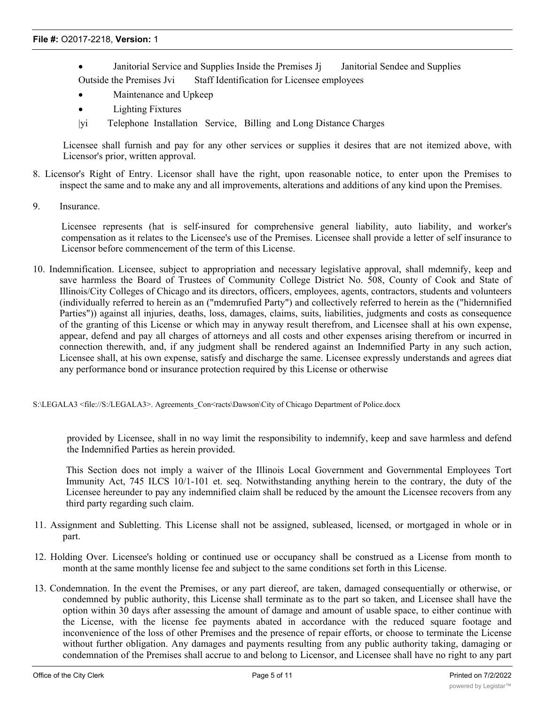- Janitorial Service and Supplies Inside the Premises J<sub>j</sub> Janitorial Sendee and Supplies Outside the Premises Jvi Staff Identification for Licensee employees
- Maintenance and Upkeep
- Lighting Fixtures
- |yi Telephone Installation Service, Billing and Long Distance Charges

Licensee shall furnish and pay for any other services or supplies it desires that are not itemized above, with Licensor's prior, written approval.

- 8. Licensor's Right of Entry. Licensor shall have the right, upon reasonable notice, to enter upon the Premises to inspect the same and to make any and all improvements, alterations and additions of any kind upon the Premises.
- 9. Insurance.

Licensee represents (hat is self-insured for comprehensive general liability, auto liability, and worker's compensation as it relates to the Licensee's use of the Premises. Licensee shall provide a letter of self insurance to Licensor before commencement of the term of this License.

10. Indemnification. Licensee, subject to appropriation and necessary legislative approval, shall mdemnify, keep and save harmless the Board of Trustees of Community College District No. 508, County of Cook and State of Illinois/City Colleges of Chicago and its directors, officers, employees, agents, contractors, students and volunteers (individually referred to herein as an ("mdemrufied Party") and collectively referred to herein as the ("hidernnified Parties")) against all injuries, deaths, loss, damages, claims, suits, liabilities, judgments and costs as consequence of the granting of this License or which may in anyway result therefrom, and Licensee shall at his own expense, appear, defend and pay all charges of attorneys and all costs and other expenses arising therefrom or incurred in connection therewith, and, if any judgment shall be rendered against an Indemnified Party in any such action, Licensee shall, at his own expense, satisfy and discharge the same. Licensee expressly understands and agrees diat any performance bond or insurance protection required by this License or otherwise

#### S:\LEGALA3 <file://S:/LEGALA3>. Agreements\_Con<racts\Dawson\City of Chicago Department of Police.docx

provided by Licensee, shall in no way limit the responsibility to indemnify, keep and save harmless and defend the Indemnified Parties as herein provided.

This Section does not imply a waiver of the Illinois Local Government and Governmental Employees Tort Immunity Act, 745 ILCS 10/1-101 et. seq. Notwithstanding anything herein to the contrary, the duty of the Licensee hereunder to pay any indemnified claim shall be reduced by the amount the Licensee recovers from any third party regarding such claim.

- 11. Assignment and Subletting. This License shall not be assigned, subleased, licensed, or mortgaged in whole or in part.
- 12. Holding Over. Licensee's holding or continued use or occupancy shall be construed as a License from month to month at the same monthly license fee and subject to the same conditions set forth in this License.
- 13. Condemnation. In the event the Premises, or any part diereof, are taken, damaged consequentially or otherwise, or condemned by public authority, this License shall terminate as to the part so taken, and Licensee shall have the option within 30 days after assessing the amount of damage and amount of usable space, to either continue with the License, with the license fee payments abated in accordance with the reduced square footage and inconvenience of the loss of other Premises and the presence of repair efforts, or choose to terminate the License without further obligation. Any damages and payments resulting from any public authority taking, damaging or condemnation of the Premises shall accrue to and belong to Licensor, and Licensee shall have no right to any part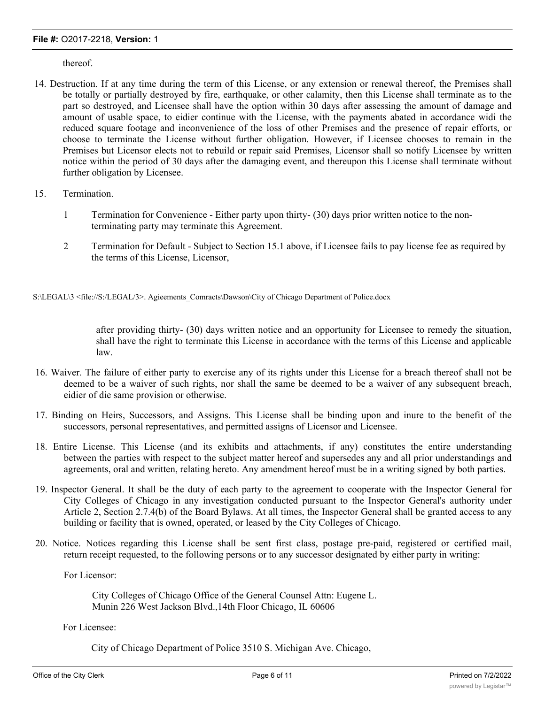thereof.

- 14. Destruction. If at any time during the term of this License, or any extension or renewal thereof, the Premises shall be totally or partially destroyed by fire, earthquake, or other calamity, then this License shall terminate as to the part so destroyed, and Licensee shall have the option within 30 days after assessing the amount of damage and amount of usable space, to eidier continue with the License, with the payments abated in accordance widi the reduced square footage and inconvenience of the loss of other Premises and the presence of repair efforts, or choose to terminate the License without further obligation. However, if Licensee chooses to remain in the Premises but Licensor elects not to rebuild or repair said Premises, Licensor shall so notify Licensee by written notice within the period of 30 days after the damaging event, and thereupon this License shall terminate without further obligation by Licensee.
- 15. Termination.
	- 1 Termination for Convenience Either party upon thirty- (30) days prior written notice to the nonterminating party may terminate this Agreement.
	- 2 Termination for Default Subject to Section 15.1 above, if Licensee fails to pay license fee as required by the terms of this License, Licensor,

S:\LEGAL\3 <file://S:/LEGAL/3>. Agieements\_Comracts\Dawson\City of Chicago Department of Police.docx

after providing thirty- (30) days written notice and an opportunity for Licensee to remedy the situation, shall have the right to terminate this License in accordance with the terms of this License and applicable law.

- 16. Waiver. The failure of either party to exercise any of its rights under this License for a breach thereof shall not be deemed to be a waiver of such rights, nor shall the same be deemed to be a waiver of any subsequent breach, eidier of die same provision or otherwise.
- 17. Binding on Heirs, Successors, and Assigns. This License shall be binding upon and inure to the benefit of the successors, personal representatives, and permitted assigns of Licensor and Licensee.
- 18. Entire License. This License (and its exhibits and attachments, if any) constitutes the entire understanding between the parties with respect to the subject matter hereof and supersedes any and all prior understandings and agreements, oral and written, relating hereto. Any amendment hereof must be in a writing signed by both parties.
- 19. Inspector General. It shall be the duty of each party to the agreement to cooperate with the Inspector General for City Colleges of Chicago in any investigation conducted pursuant to the Inspector General's authority under Article 2, Section 2.7.4(b) of the Board Bylaws. At all times, the Inspector General shall be granted access to any building or facility that is owned, operated, or leased by the City Colleges of Chicago.
- 20. Notice. Notices regarding this License shall be sent first class, postage pre-paid, registered or certified mail, return receipt requested, to the following persons or to any successor designated by either party in writing:

For Licensor:

City Colleges of Chicago Office of the General Counsel Attn: Eugene L. Munin 226 West Jackson Blvd.,14th Floor Chicago, IL 60606

For Licensee:

City of Chicago Department of Police 3510 S. Michigan Ave. Chicago,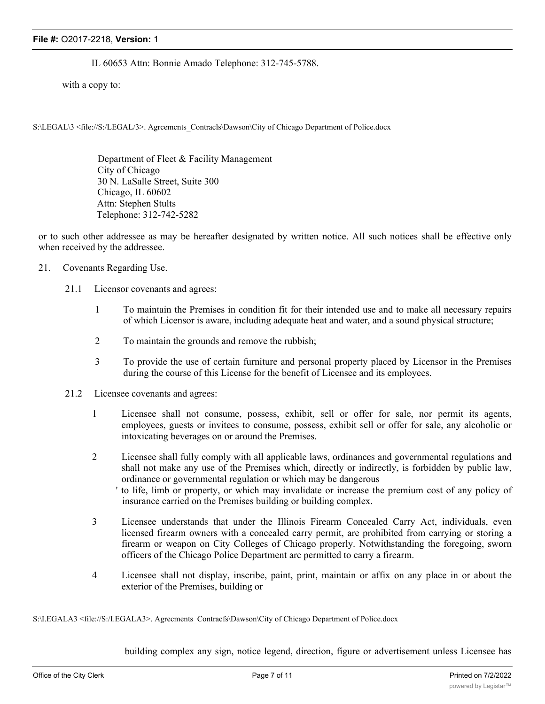#### **File #:** O2017-2218, **Version:** 1

## IL 60653 Attn: Bonnie Amado Telephone: 312-745-5788.

with a copy to:

S:\LEGAL\3 <file://S:/LEGAL/3>. Agrcemcnts\_Contracls\Dawson\City of Chicago Department of Police.docx

Department of Fleet & Facility Management City of Chicago 30 N. LaSalle Street, Suite 300 Chicago, IL 60602 Attn: Stephen Stults Telephone: 312-742-5282

or to such other addressee as may be hereafter designated by written notice. All such notices shall be effective only when received by the addressee.

- 21. Covenants Regarding Use.
	- 21.1 Licensor covenants and agrees:
		- 1 To maintain the Premises in condition fit for their intended use and to make all necessary repairs of which Licensor is aware, including adequate heat and water, and a sound physical structure;
		- 2 To maintain the grounds and remove the rubbish;
		- 3 To provide the use of certain furniture and personal property placed by Licensor in the Premises during the course of this License for the benefit of Licensee and its employees.
	- 21.2 Licensee covenants and agrees:
		- 1 Licensee shall not consume, possess, exhibit, sell or offer for sale, nor permit its agents, employees, guests or invitees to consume, possess, exhibit sell or offer for sale, any alcoholic or intoxicating beverages on or around the Premises.
		- 2 Licensee shall fully comply with all applicable laws, ordinances and governmental regulations and shall not make any use of the Premises which, directly or indirectly, is forbidden by public law, ordinance or governmental regulation or which may be dangerous
			- ' to life, limb or property, or which may invalidate or increase the premium cost of any policy of insurance carried on the Premises building or building complex.
		- 3 Licensee understands that under the Illinois Firearm Concealed Carry Act, individuals, even licensed firearm owners with a concealed carry permit, are prohibited from carrying or storing a firearm or weapon on City Colleges of Chicago properly. Notwithstanding the foregoing, sworn officers of the Chicago Police Department arc permitted to carry a firearm.
		- 4 Licensee shall not display, inscribe, paint, print, maintain or affix on any place in or about the exterior of the Premises, building or

S:\I.EGALA3 <file://S:/I.EGALA3>. Agrecments\_Contracfs\Dawson\City of Chicago Department of Police.docx

building complex any sign, notice legend, direction, figure or advertisement unless Licensee has in each instance, first obtained the written consent of Licensor, or such person or persons as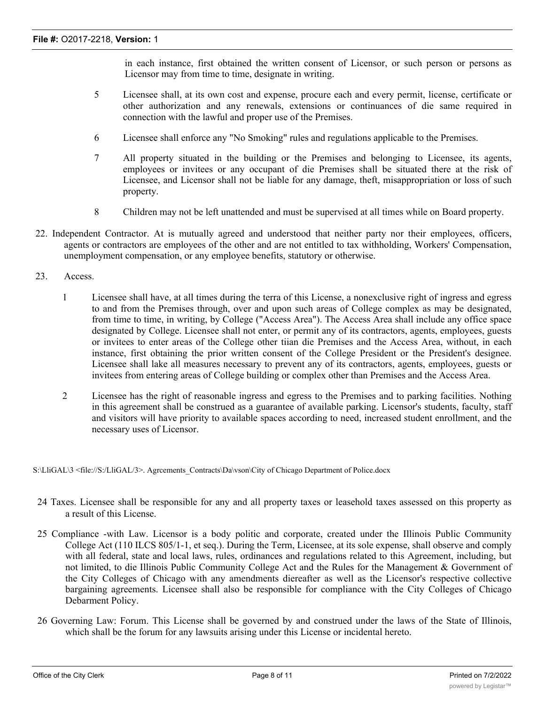in each instance, first obtained the written consent of Licensor, or such person or persons as Licensor may from time to time, designate in writing.

- 5 Licensee shall, at its own cost and expense, procure each and every permit, license, certificate or other authorization and any renewals, extensions or continuances of die same required in connection with the lawful and proper use of the Premises.
- 6 Licensee shall enforce any "No Smoking" rules and regulations applicable to the Premises.
- 7 All property situated in the building or the Premises and belonging to Licensee, its agents, employees or invitees or any occupant of die Premises shall be situated there at the risk of Licensee, and Licensor shall not be liable for any damage, theft, misappropriation or loss of such property.
- 8 Children may not be left unattended and must be supervised at all times while on Board property.
- 22. Independent Contractor. At is mutually agreed and understood that neither party nor their employees, officers, agents or contractors are employees of the other and are not entitled to tax withholding, Workers' Compensation, unemployment compensation, or any employee benefits, statutory or otherwise.
- 23. Access.
	- 1 Licensee shall have, at all times during the terra of this License, a nonexclusive right of ingress and egress to and from the Premises through, over and upon such areas of College complex as may be designated, from time to time, in writing, by College ("Access Area"). The Access Area shall include any office space designated by College. Licensee shall not enter, or permit any of its contractors, agents, employees, guests or invitees to enter areas of the College other tiian die Premises and the Access Area, without, in each instance, first obtaining the prior written consent of the College President or the President's designee. Licensee shall lake all measures necessary to prevent any of its contractors, agents, employees, guests or invitees from entering areas of College building or complex other than Premises and the Access Area.
	- 2 Licensee has the right of reasonable ingress and egress to the Premises and to parking facilities. Nothing in this agreement shall be construed as a guarantee of available parking. Licensor's students, faculty, staff and visitors will have priority to available spaces according to need, increased student enrollment, and the necessary uses of Licensor.

S:\LliGAL\3 <file://S:/LliGAL/3>. Agrcements\_Contracts\Da\vson\City of Chicago Department of Police.docx

- 24 Taxes. Licensee shall be responsible for any and all property taxes or leasehold taxes assessed on this property as a result of this License.
- 25 Compliance -with Law. Licensor is a body politic and corporate, created under the Illinois Public Community College Act (110 ILCS 805/1-1, et seq.). During the Term, Licensee, at its sole expense, shall observe and comply with all federal, state and local laws, rules, ordinances and regulations related to this Agreement, including, but not limited, to die Illinois Public Community College Act and the Rules for the Management & Government of the City Colleges of Chicago with any amendments diereafter as well as the Licensor's respective collective bargaining agreements. Licensee shall also be responsible for compliance with the City Colleges of Chicago Debarment Policy.
- 26 Governing Law: Forum. This License shall be governed by and construed under the laws of the State of Illinois, which shall be the forum for any lawsuits arising under this License or incidental hereto.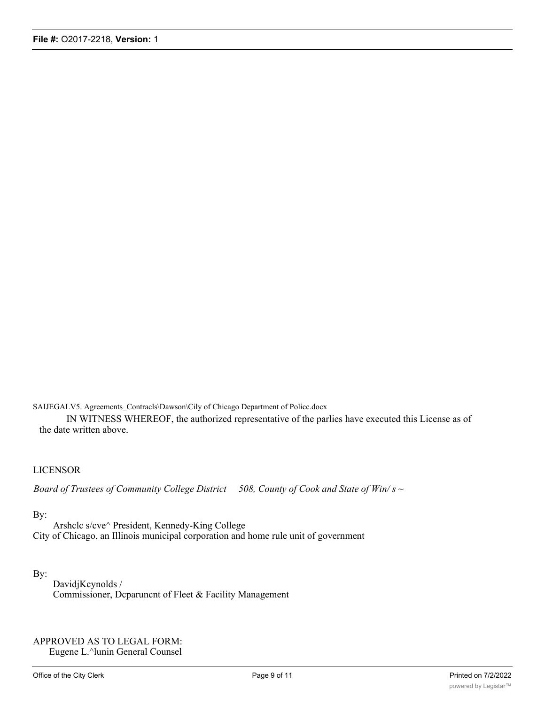SAIJEGALV5. Agreemcnts\_Contracls\Dawson\Cily of Chicago Department of Policc.docx

IN WITNESS WHEREOF, the authorized representative of the parlies have executed this License as of the date written above.

#### LICENSOR

*Board of Trustees of Community College District 508, County of Cook and State of Win/ s ~*

## By:

Arshclc s/cve^ President, Kennedy-King College City of Chicago, an Illinois municipal corporation and home rule unit of government

## By:

DavidjKcynolds / Commissioner, Dcparuncnt of Fleet & Facility Management

APPROVED AS TO LEGAL FORM: Eugene L.^lunin General Counsel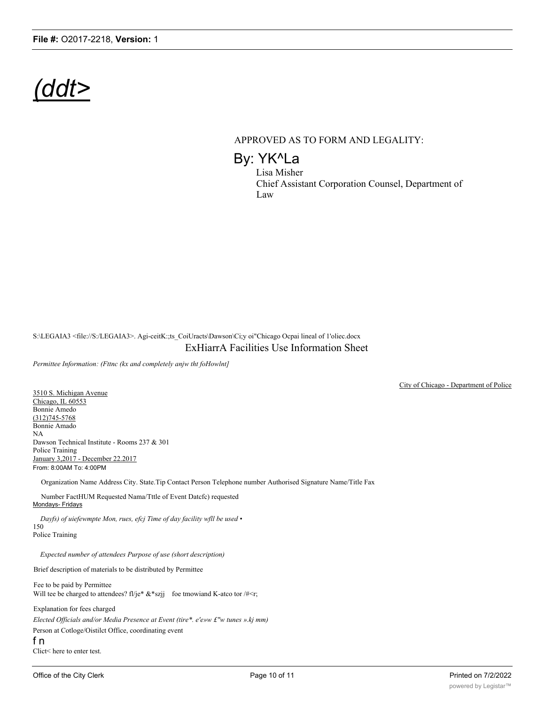# *(ddt>*

## APPROVED AS TO FORM AND LEGALITY:

By: YK^La Lisa Misher

Chief Assistant Corporation Counsel, Department of Law

S:\LEGAIA3 <file://S:/LEGAIA3>. Agi-ceitK:;ts\_CoiUracts\Dawson\Ci;y oi"Chicago Ocpai lineal of 1'oliec.docx ExHiarrA Facilities Use Information Sheet

*Permittee Information: (Fttnc (kx and completely anjw tht foHowlnt]*

3510 S. Michigan Avenue Chicago, IL 60553 Bonnie Amedo (312)745-5768 Bonnie Amado NA Dawson Technical Institute - Rooms 237 & 301 Police Training January 3,2017 - December 22.2017 From: 8:00AM To: 4:00PM

Organization Name Address City. State.Tip Contact Person Telephone number Authorised Signature Name/Title Fax

Number FactHUM Requested Nama/Tttle of Event Datcfc) requested Mondays- Fridays

*Dayfs) of uiefewmpte Mon, rues, efcj Time of day facility wfll be used •* 150 Police Training

*Expected number of attendees Purpose of use (short description)*

Brief description of materials to be distributed by Permittee

Fee to be paid by Permittee Will tee be charged to attendees? fl/je\*  $&$ \*szjj foe tmowiand K-atco tor /#<r;

Explanation for fees charged *Elected Officials and/or Media Presence at Event (tire\*. e'e»w £"w tunes ».kj mm)* Person at Cotloge/Oistilct Office, coordinating event f n

Clict< here to enter test.

City of Chicago - Department of Police